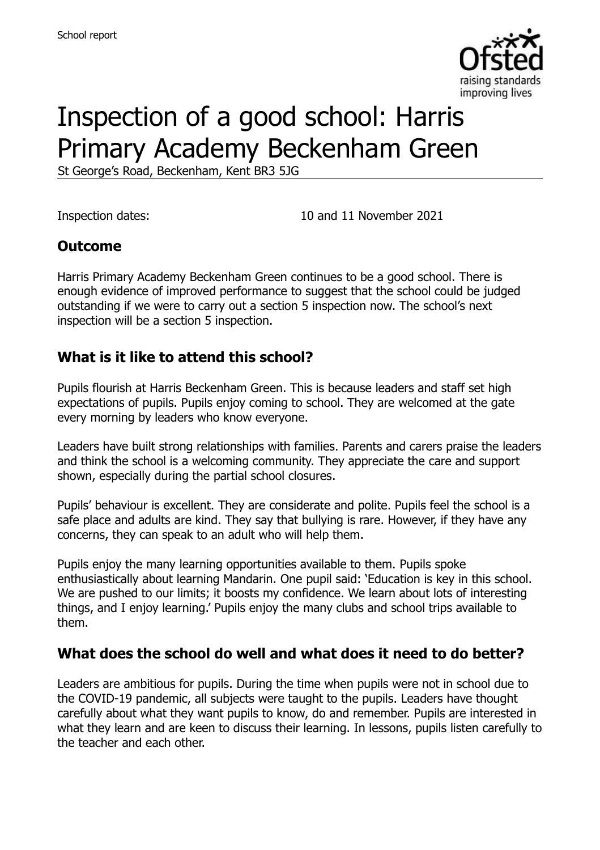

# Inspection of a good school: Harris Primary Academy Beckenham Green

St George's Road, Beckenham, Kent BR3 5JG

Inspection dates: 10 and 11 November 2021

#### **Outcome**

Harris Primary Academy Beckenham Green continues to be a good school. There is enough evidence of improved performance to suggest that the school could be judged outstanding if we were to carry out a section 5 inspection now. The school's next inspection will be a section 5 inspection.

#### **What is it like to attend this school?**

Pupils flourish at Harris Beckenham Green. This is because leaders and staff set high expectations of pupils. Pupils enjoy coming to school. They are welcomed at the gate every morning by leaders who know everyone.

Leaders have built strong relationships with families. Parents and carers praise the leaders and think the school is a welcoming community. They appreciate the care and support shown, especially during the partial school closures.

Pupils' behaviour is excellent. They are considerate and polite. Pupils feel the school is a safe place and adults are kind. They say that bullying is rare. However, if they have any concerns, they can speak to an adult who will help them.

Pupils enjoy the many learning opportunities available to them. Pupils spoke enthusiastically about learning Mandarin. One pupil said: 'Education is key in this school. We are pushed to our limits; it boosts my confidence. We learn about lots of interesting things, and I enjoy learning.' Pupils enjoy the many clubs and school trips available to them.

#### **What does the school do well and what does it need to do better?**

Leaders are ambitious for pupils. During the time when pupils were not in school due to the COVID-19 pandemic, all subjects were taught to the pupils. Leaders have thought carefully about what they want pupils to know, do and remember. Pupils are interested in what they learn and are keen to discuss their learning. In lessons, pupils listen carefully to the teacher and each other.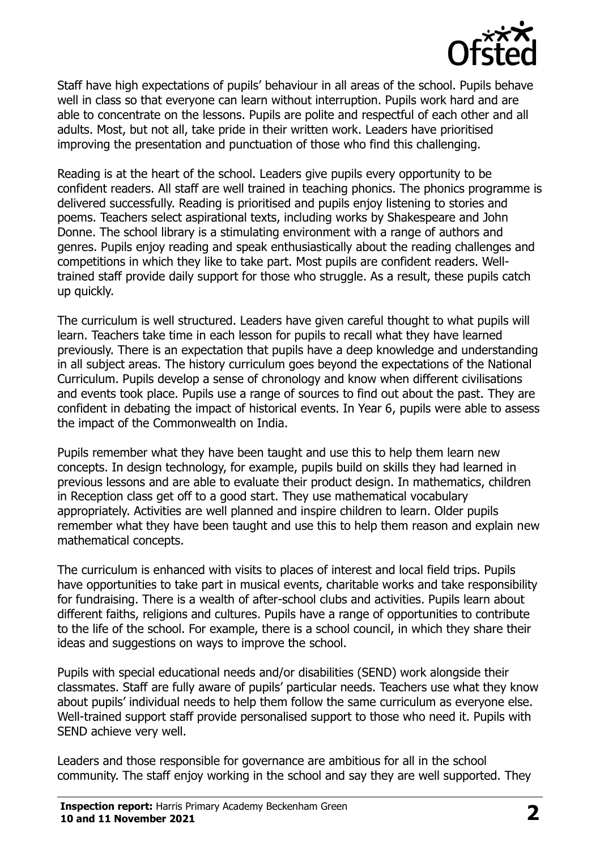

Staff have high expectations of pupils' behaviour in all areas of the school. Pupils behave well in class so that everyone can learn without interruption. Pupils work hard and are able to concentrate on the lessons. Pupils are polite and respectful of each other and all adults. Most, but not all, take pride in their written work. Leaders have prioritised improving the presentation and punctuation of those who find this challenging.

Reading is at the heart of the school. Leaders give pupils every opportunity to be confident readers. All staff are well trained in teaching phonics. The phonics programme is delivered successfully. Reading is prioritised and pupils enjoy listening to stories and poems. Teachers select aspirational texts, including works by Shakespeare and John Donne. The school library is a stimulating environment with a range of authors and genres. Pupils enjoy reading and speak enthusiastically about the reading challenges and competitions in which they like to take part. Most pupils are confident readers. Welltrained staff provide daily support for those who struggle. As a result, these pupils catch up quickly.

The curriculum is well structured. Leaders have given careful thought to what pupils will learn. Teachers take time in each lesson for pupils to recall what they have learned previously. There is an expectation that pupils have a deep knowledge and understanding in all subject areas. The history curriculum goes beyond the expectations of the National Curriculum. Pupils develop a sense of chronology and know when different civilisations and events took place. Pupils use a range of sources to find out about the past. They are confident in debating the impact of historical events. In Year 6, pupils were able to assess the impact of the Commonwealth on India.

Pupils remember what they have been taught and use this to help them learn new concepts. In design technology, for example, pupils build on skills they had learned in previous lessons and are able to evaluate their product design. In mathematics, children in Reception class get off to a good start. They use mathematical vocabulary appropriately. Activities are well planned and inspire children to learn. Older pupils remember what they have been taught and use this to help them reason and explain new mathematical concepts.

The curriculum is enhanced with visits to places of interest and local field trips. Pupils have opportunities to take part in musical events, charitable works and take responsibility for fundraising. There is a wealth of after-school clubs and activities. Pupils learn about different faiths, religions and cultures. Pupils have a range of opportunities to contribute to the life of the school. For example, there is a school council, in which they share their ideas and suggestions on ways to improve the school.

Pupils with special educational needs and/or disabilities (SEND) work alongside their classmates. Staff are fully aware of pupils' particular needs. Teachers use what they know about pupils' individual needs to help them follow the same curriculum as everyone else. Well-trained support staff provide personalised support to those who need it. Pupils with SEND achieve very well.

Leaders and those responsible for governance are ambitious for all in the school community. The staff enjoy working in the school and say they are well supported. They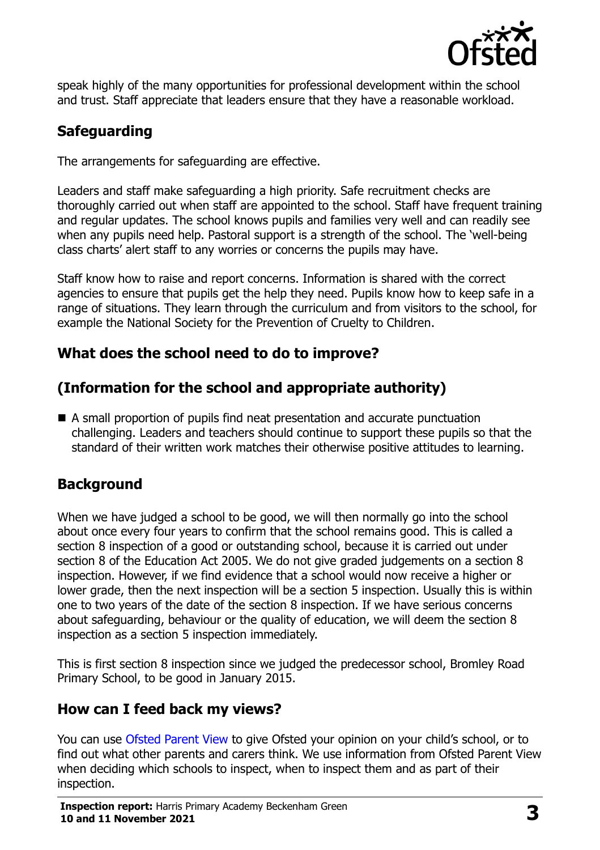

speak highly of the many opportunities for professional development within the school and trust. Staff appreciate that leaders ensure that they have a reasonable workload.

## **Safeguarding**

The arrangements for safeguarding are effective.

Leaders and staff make safeguarding a high priority. Safe recruitment checks are thoroughly carried out when staff are appointed to the school. Staff have frequent training and regular updates. The school knows pupils and families very well and can readily see when any pupils need help. Pastoral support is a strength of the school. The 'well-being class charts' alert staff to any worries or concerns the pupils may have.

Staff know how to raise and report concerns. Information is shared with the correct agencies to ensure that pupils get the help they need. Pupils know how to keep safe in a range of situations. They learn through the curriculum and from visitors to the school, for example the National Society for the Prevention of Cruelty to Children.

## **What does the school need to do to improve?**

## **(Information for the school and appropriate authority)**

 A small proportion of pupils find neat presentation and accurate punctuation challenging. Leaders and teachers should continue to support these pupils so that the standard of their written work matches their otherwise positive attitudes to learning.

## **Background**

When we have judged a school to be good, we will then normally go into the school about once every four years to confirm that the school remains good. This is called a section 8 inspection of a good or outstanding school, because it is carried out under section 8 of the Education Act 2005. We do not give graded judgements on a section 8 inspection. However, if we find evidence that a school would now receive a higher or lower grade, then the next inspection will be a section 5 inspection. Usually this is within one to two years of the date of the section 8 inspection. If we have serious concerns about safeguarding, behaviour or the quality of education, we will deem the section 8 inspection as a section 5 inspection immediately.

This is first section 8 inspection since we judged the predecessor school, Bromley Road Primary School, to be good in January 2015.

## **How can I feed back my views?**

You can use [Ofsted Parent View](https://parentview.ofsted.gov.uk/) to give Ofsted your opinion on your child's school, or to find out what other parents and carers think. We use information from Ofsted Parent View when deciding which schools to inspect, when to inspect them and as part of their inspection.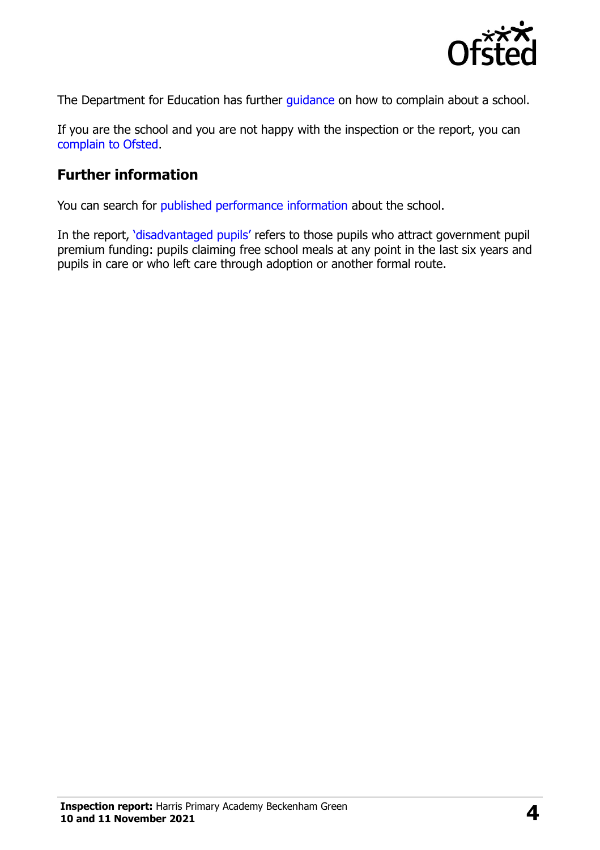

The Department for Education has further quidance on how to complain about a school.

If you are the school and you are not happy with the inspection or the report, you can [complain to Ofsted.](https://www.gov.uk/complain-ofsted-report)

#### **Further information**

You can search for [published performance information](http://www.compare-school-performance.service.gov.uk/) about the school.

In the report, '[disadvantaged pupils](http://www.gov.uk/guidance/pupil-premium-information-for-schools-and-alternative-provision-settings)' refers to those pupils who attract government pupil premium funding: pupils claiming free school meals at any point in the last six years and pupils in care or who left care through adoption or another formal route.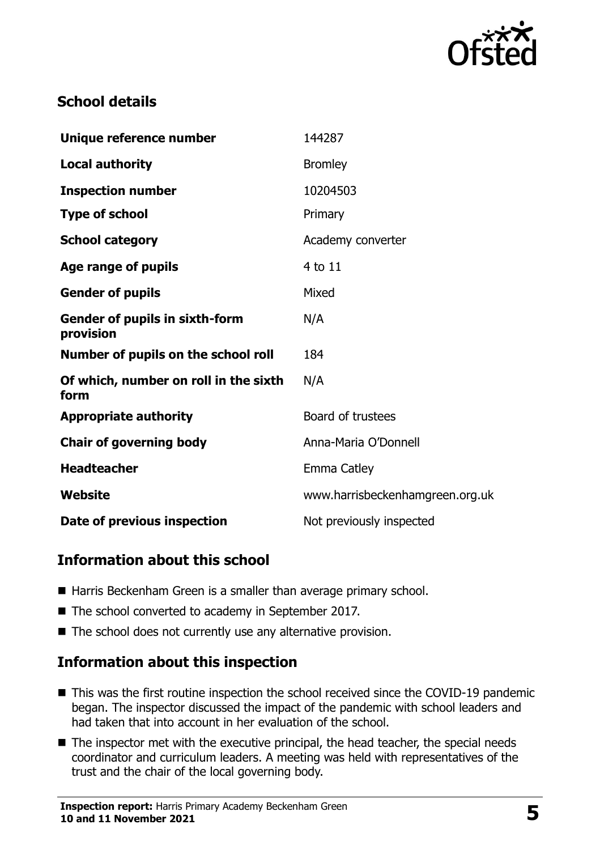

## **School details**

| Unique reference number                            | 144287                          |
|----------------------------------------------------|---------------------------------|
| <b>Local authority</b>                             | <b>Bromley</b>                  |
| <b>Inspection number</b>                           | 10204503                        |
| <b>Type of school</b>                              | Primary                         |
| <b>School category</b>                             | Academy converter               |
| Age range of pupils                                | 4 to 11                         |
| <b>Gender of pupils</b>                            | Mixed                           |
| <b>Gender of pupils in sixth-form</b><br>provision | N/A                             |
| Number of pupils on the school roll                | 184                             |
| Of which, number on roll in the sixth<br>form      | N/A                             |
| <b>Appropriate authority</b>                       | Board of trustees               |
| <b>Chair of governing body</b>                     | Anna-Maria O'Donnell            |
| <b>Headteacher</b>                                 | Emma Catley                     |
| Website                                            | www.harrisbeckenhamgreen.org.uk |
| Date of previous inspection                        | Not previously inspected        |

#### **Information about this school**

- Harris Beckenham Green is a smaller than average primary school.
- The school converted to academy in September 2017.
- $\blacksquare$  The school does not currently use any alternative provision.

#### **Information about this inspection**

- This was the first routine inspection the school received since the COVID-19 pandemic began. The inspector discussed the impact of the pandemic with school leaders and had taken that into account in her evaluation of the school.
- The inspector met with the executive principal, the head teacher, the special needs coordinator and curriculum leaders. A meeting was held with representatives of the trust and the chair of the local governing body.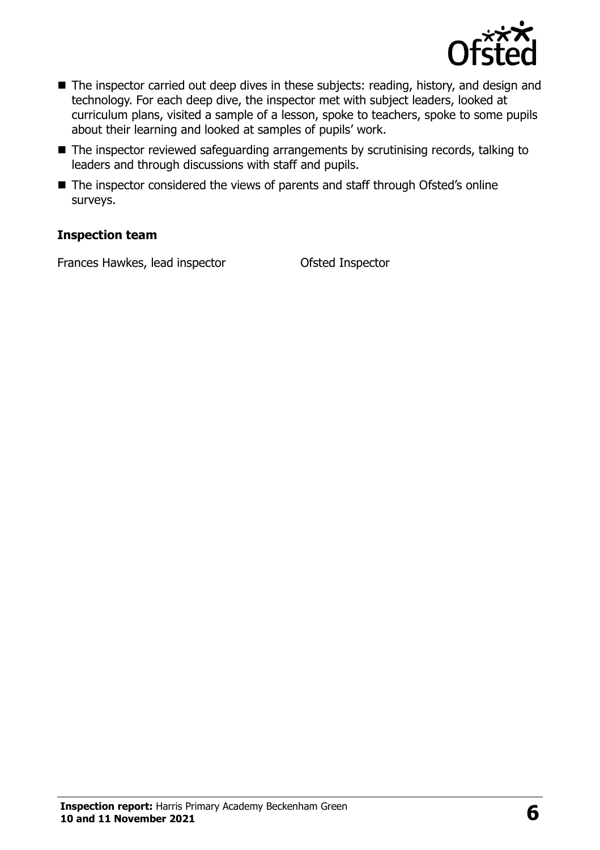

- The inspector carried out deep dives in these subjects: reading, history, and design and technology. For each deep dive, the inspector met with subject leaders, looked at curriculum plans, visited a sample of a lesson, spoke to teachers, spoke to some pupils about their learning and looked at samples of pupils' work.
- The inspector reviewed safeguarding arrangements by scrutinising records, talking to leaders and through discussions with staff and pupils.
- The inspector considered the views of parents and staff through Ofsted's online surveys.

#### **Inspection team**

Frances Hawkes, lead inspector **Ofsted Inspector**